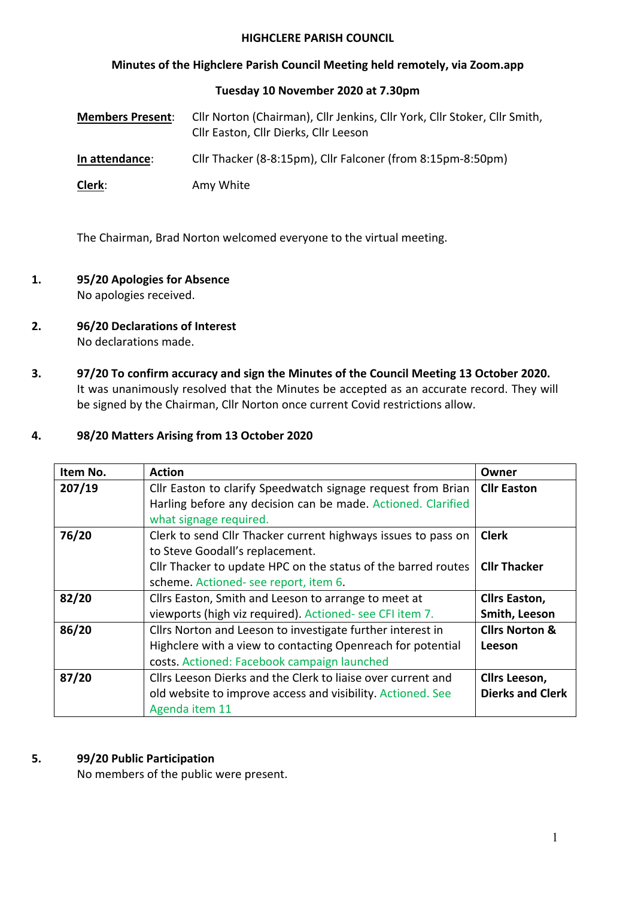#### **HIGHCLERE PARISH COUNCIL**

## **Minutes of the Highclere Parish Council Meeting held remotely, via Zoom.app**

#### **Tuesday 10 November 2020 at 7.30pm**

| <b>Members Present:</b> | Cllr Norton (Chairman), Cllr Jenkins, Cllr York, Cllr Stoker, Cllr Smith,<br>Cllr Easton, Cllr Dierks, Cllr Leeson |
|-------------------------|--------------------------------------------------------------------------------------------------------------------|
| In attendance:          | Cllr Thacker (8-8:15pm), Cllr Falconer (from 8:15pm-8:50pm)                                                        |
| Clerk:                  | Amy White                                                                                                          |

The Chairman, Brad Norton welcomed everyone to the virtual meeting.

- **1. 95/20 Apologies for Absence** No apologies received.
- **2. 96/20 Declarations of Interest**  No declarations made.
- **3. 97/20 To confirm accuracy and sign the Minutes of the Council Meeting 13 October 2020.**  It was unanimously resolved that the Minutes be accepted as an accurate record. They will be signed by the Chairman, Cllr Norton once current Covid restrictions allow.

## **4. 98/20 Matters Arising from 13 October 2020**

| Item No. | <b>Action</b>                                                                                                                                                                                              | Owner                                    |
|----------|------------------------------------------------------------------------------------------------------------------------------------------------------------------------------------------------------------|------------------------------------------|
| 207/19   | Cllr Easton to clarify Speedwatch signage request from Brian<br>Harling before any decision can be made. Actioned. Clarified<br>what signage required.                                                     | <b>Cllr Easton</b>                       |
| 76/20    | Clerk to send Cllr Thacker current highways issues to pass on<br>to Steve Goodall's replacement.<br>Cllr Thacker to update HPC on the status of the barred routes<br>scheme. Actioned- see report, item 6. | <b>Clerk</b><br><b>Cllr Thacker</b>      |
| 82/20    | Cllrs Easton, Smith and Leeson to arrange to meet at<br>viewports (high viz required). Actioned- see CFI item 7.                                                                                           | <b>Cllrs Easton,</b><br>Smith, Leeson    |
| 86/20    | Cllrs Norton and Leeson to investigate further interest in<br>Highclere with a view to contacting Openreach for potential<br>costs. Actioned: Facebook campaign launched                                   | <b>Clirs Norton &amp;</b><br>Leeson      |
| 87/20    | Cllrs Leeson Dierks and the Clerk to liaise over current and<br>old website to improve access and visibility. Actioned. See<br>Agenda item 11                                                              | Cllrs Leeson,<br><b>Dierks and Clerk</b> |

#### **5. 99/20 Public Participation**

No members of the public were present.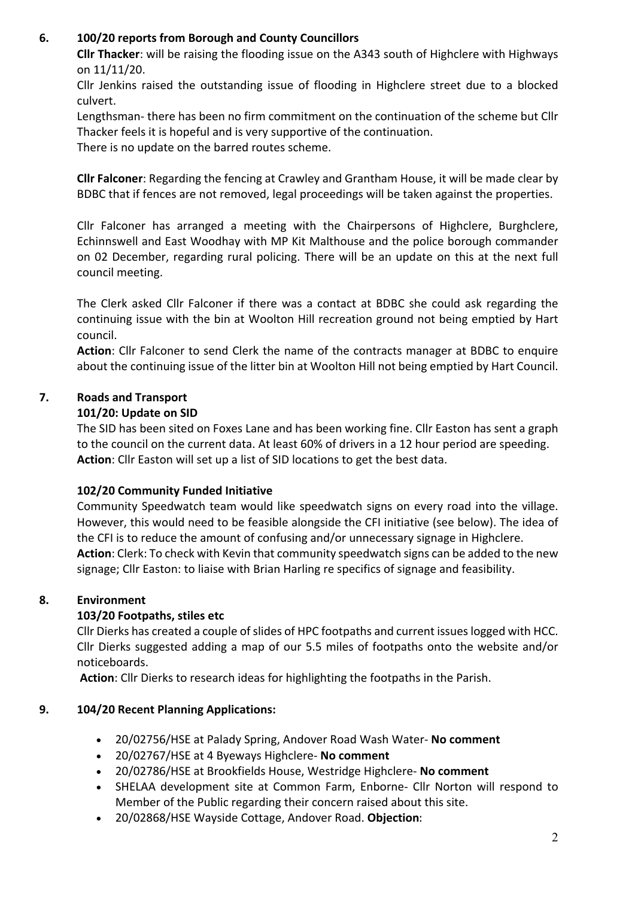## **6. 100/20 reports from Borough and County Councillors**

**Cllr Thacker**: will be raising the flooding issue on the A343 south of Highclere with Highways on 11/11/20.

Cllr Jenkins raised the outstanding issue of flooding in Highclere street due to a blocked culvert.

Lengthsman- there has been no firm commitment on the continuation of the scheme but Cllr Thacker feels it is hopeful and is very supportive of the continuation.

There is no update on the barred routes scheme.

**Cllr Falconer**: Regarding the fencing at Crawley and Grantham House, it will be made clear by BDBC that if fences are not removed, legal proceedings will be taken against the properties.

Cllr Falconer has arranged a meeting with the Chairpersons of Highclere, Burghclere, Echinnswell and East Woodhay with MP Kit Malthouse and the police borough commander on 02 December, regarding rural policing. There will be an update on this at the next full council meeting.

The Clerk asked Cllr Falconer if there was a contact at BDBC she could ask regarding the continuing issue with the bin at Woolton Hill recreation ground not being emptied by Hart council.

**Action**: Cllr Falconer to send Clerk the name of the contracts manager at BDBC to enquire about the continuing issue of the litter bin at Woolton Hill not being emptied by Hart Council.

# **7. Roads and Transport**

## **101/20: Update on SID**

The SID has been sited on Foxes Lane and has been working fine. Cllr Easton has sent a graph to the council on the current data. At least 60% of drivers in a 12 hour period are speeding. **Action**: Cllr Easton will set up a list of SID locations to get the best data.

## **102/20 Community Funded Initiative**

Community Speedwatch team would like speedwatch signs on every road into the village. However, this would need to be feasible alongside the CFI initiative (see below). The idea of the CFI is to reduce the amount of confusing and/or unnecessary signage in Highclere. **Action**: Clerk: To check with Kevin that community speedwatch signs can be added to the new signage; Cllr Easton: to liaise with Brian Harling re specifics of signage and feasibility.

## **8. Environment**

## **103/20 Footpaths, stiles etc**

Cllr Dierks has created a couple of slides of HPC footpaths and current issueslogged with HCC. Cllr Dierks suggested adding a map of our 5.5 miles of footpaths onto the website and/or noticeboards.

**Action**: Cllr Dierks to research ideas for highlighting the footpaths in the Parish.

## **9. 104/20 Recent Planning Applications:**

- 20/02756/HSE at Palady Spring, Andover Road Wash Water- **No comment**
- 20/02767/HSE at 4 Byeways Highclere- **No comment**
- 20/02786/HSE at Brookfields House, Westridge Highclere- **No comment**
- SHELAA development site at Common Farm, Enborne- Cllr Norton will respond to Member of the Public regarding their concern raised about this site.
- 20/02868/HSE Wayside Cottage, Andover Road. **Objection**: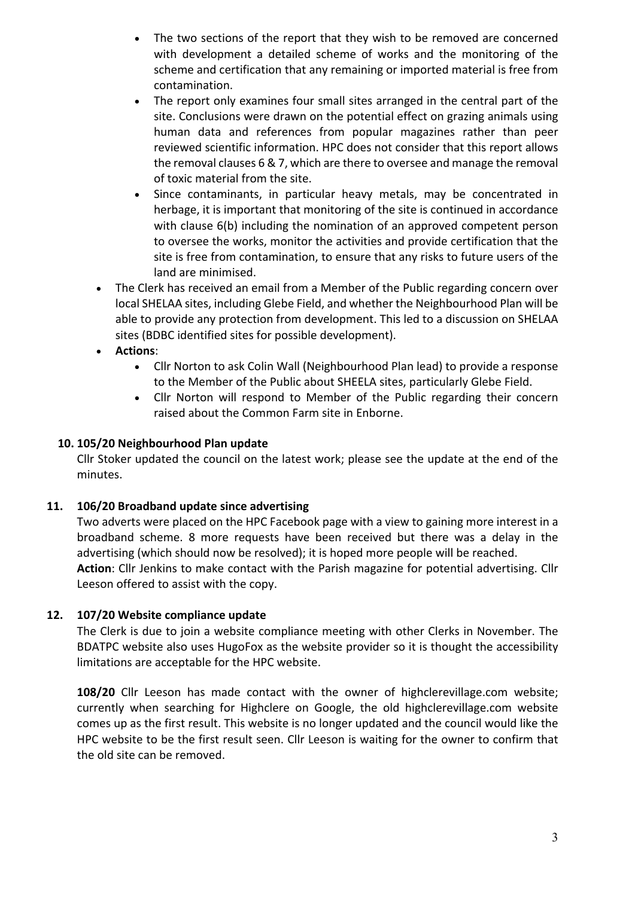- The two sections of the report that they wish to be removed are concerned with development a detailed scheme of works and the monitoring of the scheme and certification that any remaining or imported material is free from contamination.
- The report only examines four small sites arranged in the central part of the site. Conclusions were drawn on the potential effect on grazing animals using human data and references from popular magazines rather than peer reviewed scientific information. HPC does not consider that this report allows the removal clauses 6 & 7, which are there to oversee and manage the removal of toxic material from the site.
- Since contaminants, in particular heavy metals, may be concentrated in herbage, it is important that monitoring of the site is continued in accordance with clause 6(b) including the nomination of an approved competent person to oversee the works, monitor the activities and provide certification that the site is free from contamination, to ensure that any risks to future users of the land are minimised.
- The Clerk has received an email from a Member of the Public regarding concern over local SHELAA sites, including Glebe Field, and whether the Neighbourhood Plan will be able to provide any protection from development. This led to a discussion on SHELAA sites (BDBC identified sites for possible development).
- **Actions**:
	- Cllr Norton to ask Colin Wall (Neighbourhood Plan lead) to provide a response to the Member of the Public about SHEELA sites, particularly Glebe Field.
	- Cllr Norton will respond to Member of the Public regarding their concern raised about the Common Farm site in Enborne.

## **10. 105/20 Neighbourhood Plan update**

Cllr Stoker updated the council on the latest work; please see the update at the end of the minutes.

#### **11. 106/20 Broadband update since advertising**

Two adverts were placed on the HPC Facebook page with a view to gaining more interest in a broadband scheme. 8 more requests have been received but there was a delay in the advertising (which should now be resolved); it is hoped more people will be reached. **Action**: Cllr Jenkins to make contact with the Parish magazine for potential advertising. Cllr Leeson offered to assist with the copy.

## **12. 107/20 Website compliance update**

The Clerk is due to join a website compliance meeting with other Clerks in November. The BDATPC website also uses HugoFox as the website provider so it is thought the accessibility limitations are acceptable for the HPC website.

**108/20** Cllr Leeson has made contact with the owner of highclerevillage.com website; currently when searching for Highclere on Google, the old highclerevillage.com website comes up as the first result. This website is no longer updated and the council would like the HPC website to be the first result seen. Cllr Leeson is waiting for the owner to confirm that the old site can be removed.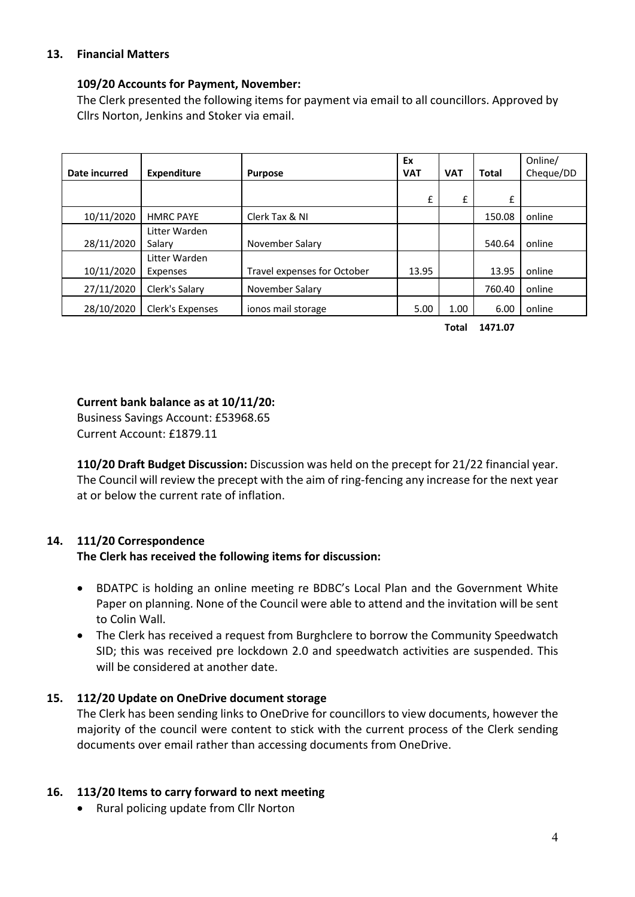## **13. Financial Matters**

#### **109/20 Accounts for Payment, November:**

The Clerk presented the following items for payment via email to all councillors. Approved by Cllrs Norton, Jenkins and Stoker via email.

|               |                    |                             | Ex         |            |              | Online/   |
|---------------|--------------------|-----------------------------|------------|------------|--------------|-----------|
| Date incurred | <b>Expenditure</b> | <b>Purpose</b>              | <b>VAT</b> | <b>VAT</b> | <b>Total</b> | Cheque/DD |
|               |                    |                             |            |            |              |           |
|               |                    |                             | £          | £          | £            |           |
| 10/11/2020    | <b>HMRC PAYE</b>   | Clerk Tax & NI              |            |            | 150.08       | online    |
|               | Litter Warden      |                             |            |            |              |           |
| 28/11/2020    | Salary             | November Salary             |            |            | 540.64       | online    |
|               | Litter Warden      |                             |            |            |              |           |
| 10/11/2020    | Expenses           | Travel expenses for October | 13.95      |            | 13.95        | online    |
| 27/11/2020    | Clerk's Salary     | November Salary             |            |            | 760.40       | online    |
| 28/10/2020    | Clerk's Expenses   | ionos mail storage          | 5.00       | 1.00       | 6.00         | online    |

**Total 1471.07**

#### **Current bank balance as at 10/11/20:**

Business Savings Account: £53968.65 Current Account: £1879.11

**110/20 Draft Budget Discussion:** Discussion was held on the precept for 21/22 financial year. The Council will review the precept with the aim of ring-fencing any increase for the next year at or below the current rate of inflation.

## **14. 111/20 Correspondence**

## **The Clerk has received the following items for discussion:**

- BDATPC is holding an online meeting re BDBC's Local Plan and the Government White Paper on planning. None of the Council were able to attend and the invitation will be sent to Colin Wall.
- The Clerk has received a request from Burghclere to borrow the Community Speedwatch SID; this was received pre lockdown 2.0 and speedwatch activities are suspended. This will be considered at another date.

## **15. 112/20 Update on OneDrive document storage**

The Clerk has been sending links to OneDrive for councillors to view documents, however the majority of the council were content to stick with the current process of the Clerk sending documents over email rather than accessing documents from OneDrive.

## **16. 113/20 Items to carry forward to next meeting**

• Rural policing update from Cllr Norton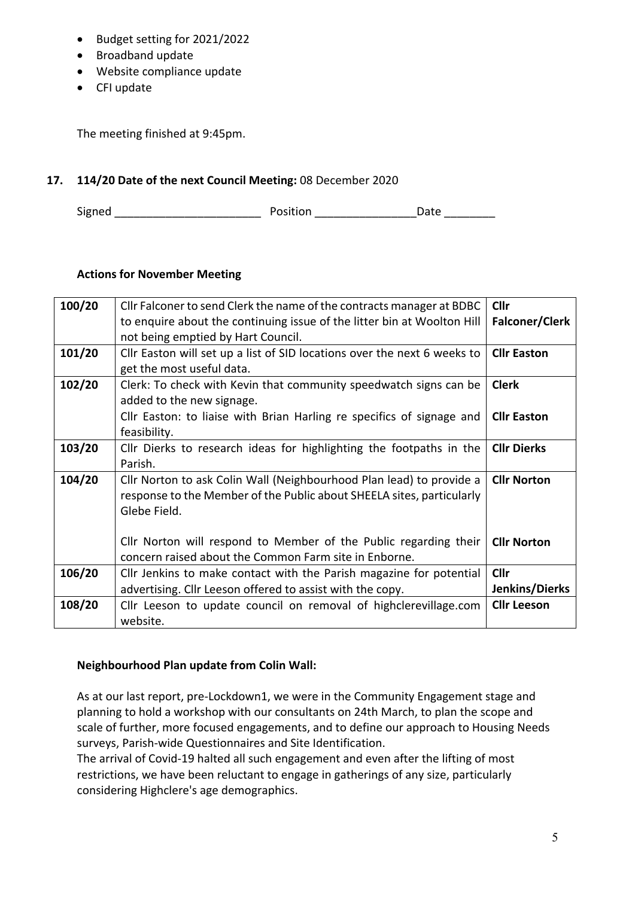- Budget setting for 2021/2022
- Broadband update
- Website compliance update
- CFI update

The meeting finished at 9:45pm.

## **17. 114/20 Date of the next Council Meeting:** 08 December 2020

Signed \_\_\_\_\_\_\_\_\_\_\_\_\_\_\_\_\_\_\_\_\_\_\_ Position \_\_\_\_\_\_\_\_\_\_\_\_\_\_\_\_Date \_\_\_\_\_\_\_\_

## **Actions for November Meeting**

| 100/20 | Cllr Falconer to send Clerk the name of the contracts manager at BDBC    | Cllr                  |
|--------|--------------------------------------------------------------------------|-----------------------|
|        | to enquire about the continuing issue of the litter bin at Woolton Hill  | <b>Falconer/Clerk</b> |
|        | not being emptied by Hart Council.                                       |                       |
| 101/20 | Cllr Easton will set up a list of SID locations over the next 6 weeks to | <b>Cllr Easton</b>    |
|        | get the most useful data.                                                |                       |
| 102/20 | Clerk: To check with Kevin that community speedwatch signs can be        | <b>Clerk</b>          |
|        | added to the new signage.                                                |                       |
|        | Cllr Easton: to liaise with Brian Harling re specifics of signage and    | <b>Cllr Easton</b>    |
|        | feasibility.                                                             |                       |
| 103/20 | Cllr Dierks to research ideas for highlighting the footpaths in the      | <b>Cllr Dierks</b>    |
|        | Parish.                                                                  |                       |
| 104/20 | Cllr Norton to ask Colin Wall (Neighbourhood Plan lead) to provide a     | <b>Cllr Norton</b>    |
|        | response to the Member of the Public about SHEELA sites, particularly    |                       |
|        | Glebe Field.                                                             |                       |
|        |                                                                          |                       |
|        | Cllr Norton will respond to Member of the Public regarding their         | <b>Cllr Norton</b>    |
|        | concern raised about the Common Farm site in Enborne.                    |                       |
| 106/20 | Cllr Jenkins to make contact with the Parish magazine for potential      | Cllr                  |
|        | advertising. Cllr Leeson offered to assist with the copy.                | Jenkins/Dierks        |
| 108/20 | Cllr Leeson to update council on removal of highclerevillage.com         | <b>Cllr Leeson</b>    |
|        | website.                                                                 |                       |

## **Neighbourhood Plan update from Colin Wall:**

As at our last report, pre-Lockdown1, we were in the Community Engagement stage and planning to hold a workshop with our consultants on 24th March, to plan the scope and scale of further, more focused engagements, and to define our approach to Housing Needs surveys, Parish-wide Questionnaires and Site Identification.

The arrival of Covid-19 halted all such engagement and even after the lifting of most restrictions, we have been reluctant to engage in gatherings of any size, particularly considering Highclere's age demographics.